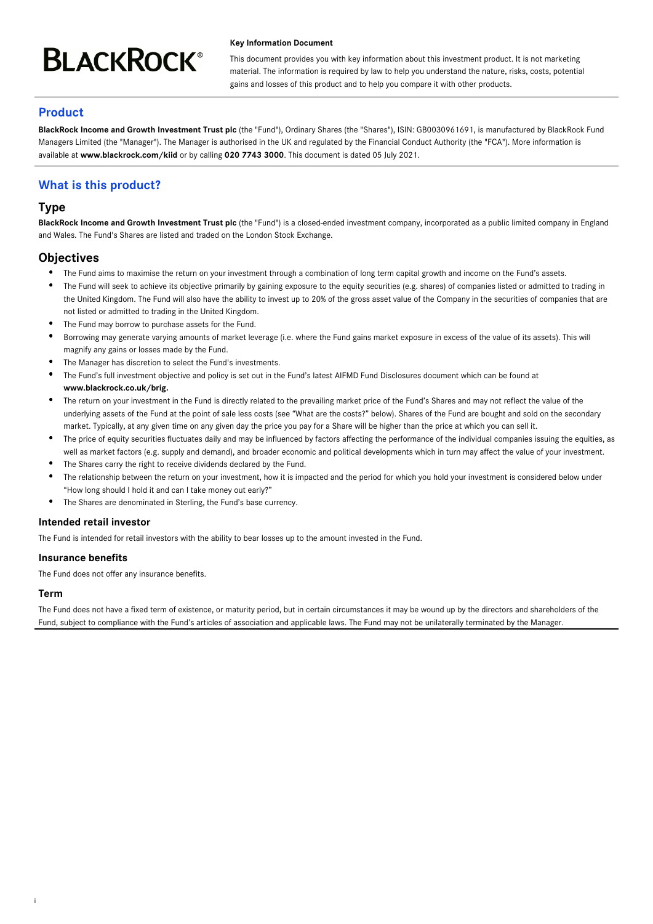# **BLACKROCK®**

#### **Key Information Document**

This document provides you with key information about this investment product. It is not marketing material. The information is required by law to help you understand the nature, risks, costs, potential gains and losses of this product and to help you compare it with other products.

## **Product**

**BlackRock Income and Growth Investment Trust plc** (the "Fund"), Ordinary Shares (the "Shares"), ISIN: GB0030961691, is manufactured by BlackRock Fund Managers Limited (the "Manager"). The Manager is authorised in the UK and regulated by the Financial Conduct Authority (the "FCA"). More information is available at **www.blackrock.com/kiid** or by calling **020 7743 3000**. This document is dated 05 July 2021.

# **What is this product?**

## **Type**

**BlackRock Income and Growth Investment Trust plc** (the "Fund") is a closed-ended investment company, incorporated as a public limited company in England and Wales. The Fund's Shares are listed and traded on the London Stock Exchange.

## **Objectives**

- The Fund aims to maximise the return on your investment through a combination of long term capital growth and income on the Fund's assets.
- $\bullet$ The Fund will seek to achieve its objective primarily by gaining exposure to the equity securities (e.g. shares) of companies listed or admitted to trading in the United Kingdom. The Fund will also have the ability to invest up to 20% of the gross asset value of the Company in the securities of companies that are not listed or admitted to trading in the United Kingdom.
- The Fund may borrow to purchase assets for the Fund.
- Borrowing may generate varying amounts of market leverage (i.e. where the Fund gains market exposure in excess of the value of its assets). This will magnify any gains or losses made by the Fund.
- The Manager has discretion to select the Fund's investments.
- The Fund's full investment objective and policy is set out in the Fund's latest AIFMD Fund Disclosures document which can be found at **www.blackrock.co.uk/brig.**
- The return on your investment in the Fund is directly related to the prevailing market price of the Fund's Shares and may not reflect the value of the underlying assets of the Fund at the point of sale less costs (see "What are the costs?" below). Shares of the Fund are bought and sold on the secondary market. Typically, at any given time on any given day the price you pay for a Share will be higher than the price at which you can sell it.
- The price of equity securities fluctuates daily and may be influenced by factors affecting the performance of the individual companies issuing the equities, as well as market factors (e.g. supply and demand), and broader economic and political developments which in turn may affect the value of your investment.
- The Shares carry the right to receive dividends declared by the Fund.
- The relationship between the return on your investment, how it is impacted and the period for which you hold your investment is considered below under "How long should I hold it and can I take money out early?"
- The Shares are denominated in Sterling, the Fund's base currency.

#### **Intended retail investor**

The Fund is intended for retail investors with the ability to bear losses up to the amount invested in the Fund.

#### **Insurance benefits**

The Fund does not offer any insurance benefits.

## **Term**

i

The Fund does not have a fixed term of existence, or maturity period, but in certain circumstances it may be wound up by the directors and shareholders of the Fund, subject to compliance with the Fund's articles of association and applicable laws. The Fund may not be unilaterally terminated by the Manager.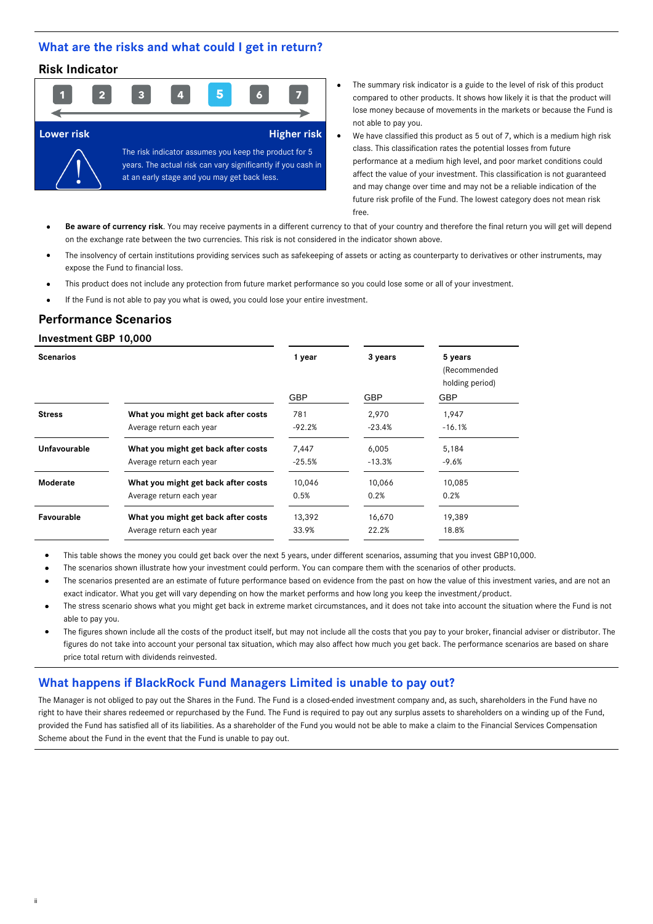## **What are the risks and what could I get in return?**

## **Risk Indicator**



- The summary risk indicator is a guide to the level of risk of this product compared to other products. It shows how likely it is that the product will lose money because of movements in the markets or because the Fund is not able to pay you.
- We have classified this product as 5 out of 7, which is a medium high risk class. This classification rates the potential losses from future performance at a medium high level, and poor market conditions could affect the value of your investment. This classification is not guaranteed and may change over time and may not be a reliable indication of the future risk profile of the Fund. The lowest category does not mean risk free.
- **Be aware of currency risk**. You may receive payments in a different currency to that of your country and therefore the final return you will get will depend on the exchange rate between the two currencies. This risk is not considered in the indicator shown above.
- The insolvency of certain institutions providing services such as safekeeping of assets or acting as counterparty to derivatives or other instruments, may expose the Fund to financial loss.
- This product does not include any protection from future market performance so you could lose some or all of your investment.
- If the Fund is not able to pay you what is owed, you could lose your entire investment.

## **Performance Scenarios**

#### **Investment GBP 10,000**

ii

| <b>Scenarios</b> |                                     | 1 year     | 3 years    | 5 years<br>(Recommended<br>holding period) |
|------------------|-------------------------------------|------------|------------|--------------------------------------------|
|                  |                                     | <b>GBP</b> | <b>GBP</b> | <b>GBP</b>                                 |
| <b>Stress</b>    | What you might get back after costs | 781        | 2.970      | 1,947                                      |
|                  | Average return each year            | -92.2%     | $-23.4%$   | $-16.1%$                                   |
| Unfavourable     | What you might get back after costs | 7,447      | 6,005      | 5,184                                      |
|                  | Average return each year            | $-25.5%$   | $-13.3%$   | -9.6%                                      |
| Moderate         | What you might get back after costs | 10.046     | 10.066     | 10,085                                     |
|                  | Average return each year            | 0.5%       | 0.2%       | 0.2%                                       |
| Favourable       | What you might get back after costs | 13,392     | 16,670     | 19,389                                     |
|                  | Average return each year            | 33.9%      | 22.2%      | 18.8%                                      |
|                  |                                     |            |            |                                            |

- This table shows the money you could get back over the next 5 years, under different scenarios, assuming that you invest GBP10,000.
- The scenarios shown illustrate how your investment could perform. You can compare them with the scenarios of other products.
- The scenarios presented are an estimate of future performance based on evidence from the past on how the value of this investment varies, and are not an exact indicator. What you get will vary depending on how the market performs and how long you keep the investment/product.
- The stress scenario shows what you might get back in extreme market circumstances, and it does not take into account the situation where the Fund is not able to pay you.
- The figures shown include all the costs of the product itself, but may not include all the costs that you pay to your broker, financial adviser or distributor. The figures do not take into account your personal tax situation, which may also affect how much you get back. The performance scenarios are based on share price total return with dividends reinvested.

## **What happens if BlackRock Fund Managers Limited is unable to pay out?**

The Manager is not obliged to pay out the Shares in the Fund. The Fund is a closed-ended investment company and, as such, shareholders in the Fund have no right to have their shares redeemed or repurchased by the Fund. The Fund is required to pay out any surplus assets to shareholders on a winding up of the Fund, provided the Fund has satisfied all of its liabilities. As a shareholder of the Fund you would not be able to make a claim to the Financial Services Compensation Scheme about the Fund in the event that the Fund is unable to pay out.